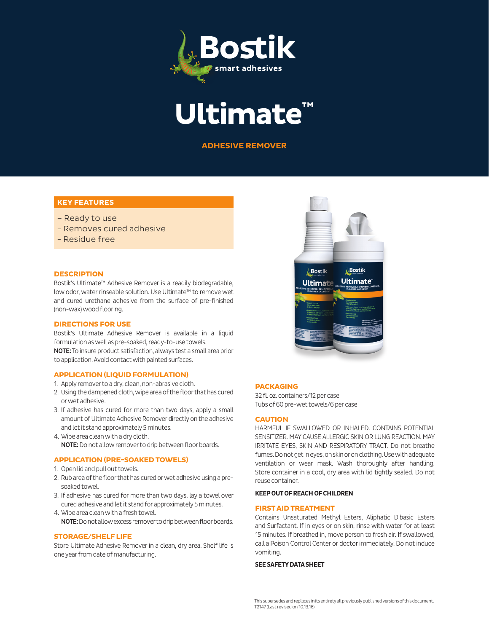



**ADHESIVE REMOVER**

# **KEY FEATURES**

- Ready to use
- Removes cured adhesive
- Residue free

#### **DESCRIPTION**

Bostik's Ultimate™ Adhesive Remover is a readily biodegradable, low odor, water rinseable solution. Use Ultimate™ to remove wet and cured urethane adhesive from the surface of pre-finished (non-wax) wood flooring.

#### **DIRECTIONS FOR USE**

Bostik's Ultimate Adhesive Remover is available in a liquid formulation as well as pre-soaked, ready-to-use towels. NOTE: To insure product satisfaction, always test a small area prior to application. Avoid contact with painted surfaces.

#### **APPLICATION (LIQUID FORMULATION)**

- 1. Apply remover to a dry, clean, non-abrasive cloth.
- 2. Using the dampened cloth, wipe area of the floor that has cured or wet adhesive.
- 3. If adhesive has cured for more than two days, apply a small amount of Ultimate Adhesive Remover directly on the adhesive and let it stand approximately 5 minutes.
- 4. Wipe area clean with a dry cloth. NOTE: Do not allow remover to drip between floor boards.

### **APPLICATION (PRE-SOAKED TOWELS)**

- 1. Open lid and pull out towels.
- 2. Rub area of the floor that has cured or wet adhesive using a presoaked towel.
- 3. If adhesive has cured for more than two days, lay a towel over cured adhesive and let it stand for approximately 5 minutes.
- 4. Wipe area clean with a fresh towel. NOTE: Do not allow excess remover to drip between floor boards.

### **STORAGE/SHELF LIFE**

Store Ultimate Adhesive Remover in a clean, dry area. Shelf life is one year from date of manufacturing.



## **PACKAGING**

32 fl. oz. containers/12 per case Tubs of 60 pre-wet towels/6 per case

### **CAUTION**

HARMFUL IF SWALLOWED OR INHALED. CONTAINS POTENTIAL SENSITIZER. MAY CAUSE ALLERGIC SKIN OR LUNG REACTION. MAY IRRITATE EYES, SKIN AND RESPIRATORY TRACT. Do not breathe fumes. Do not get in eyes, on skin or on clothing. Use with adequate ventilation or wear mask. Wash thoroughly after handling. Store container in a cool, dry area with lid tightly sealed. Do not reuse container.

## **KEEP OUT OF REACH OF CHILDREN**

#### **FIRST AID TREATMENT**

Contains Unsaturated Methyl Esters, Aliphatic Dibasic Esters and Surfactant. If in eyes or on skin, rinse with water for at least 15 minutes. If breathed in, move person to fresh air. If swallowed, call a Poison Control Center or doctor immediately. Do not induce vomiting.

#### **SEE SAFETY DATA SHEET**

This supersedes and replaces in its entirety all previously published versions of this document. T2147 (Last revised on 10.13.16)